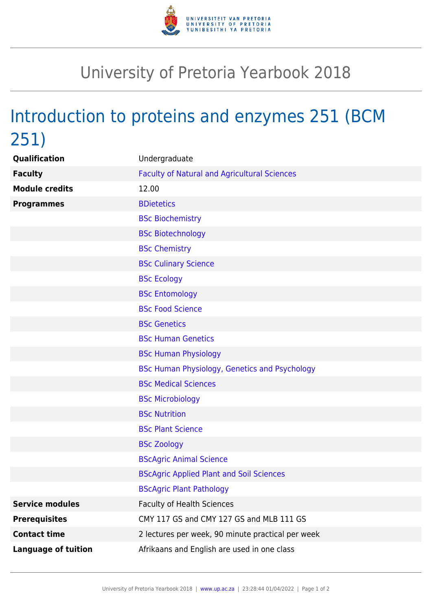

## University of Pretoria Yearbook 2018

# Introduction to proteins and enzymes 251 (BCM 251)

| Qualification              | Undergraduate                                       |
|----------------------------|-----------------------------------------------------|
| <b>Faculty</b>             | <b>Faculty of Natural and Agricultural Sciences</b> |
| <b>Module credits</b>      | 12.00                                               |
| <b>Programmes</b>          | <b>BDietetics</b>                                   |
|                            | <b>BSc Biochemistry</b>                             |
|                            | <b>BSc Biotechnology</b>                            |
|                            | <b>BSc Chemistry</b>                                |
|                            | <b>BSc Culinary Science</b>                         |
|                            | <b>BSc Ecology</b>                                  |
|                            | <b>BSc Entomology</b>                               |
|                            | <b>BSc Food Science</b>                             |
|                            | <b>BSc Genetics</b>                                 |
|                            | <b>BSc Human Genetics</b>                           |
|                            | <b>BSc Human Physiology</b>                         |
|                            | BSc Human Physiology, Genetics and Psychology       |
|                            | <b>BSc Medical Sciences</b>                         |
|                            | <b>BSc Microbiology</b>                             |
|                            | <b>BSc Nutrition</b>                                |
|                            | <b>BSc Plant Science</b>                            |
|                            | <b>BSc Zoology</b>                                  |
|                            | <b>BScAgric Animal Science</b>                      |
|                            | <b>BScAgric Applied Plant and Soil Sciences</b>     |
|                            | <b>BScAgric Plant Pathology</b>                     |
| <b>Service modules</b>     | <b>Faculty of Health Sciences</b>                   |
| <b>Prerequisites</b>       | CMY 117 GS and CMY 127 GS and MLB 111 GS            |
| <b>Contact time</b>        | 2 lectures per week, 90 minute practical per week   |
| <b>Language of tuition</b> | Afrikaans and English are used in one class         |